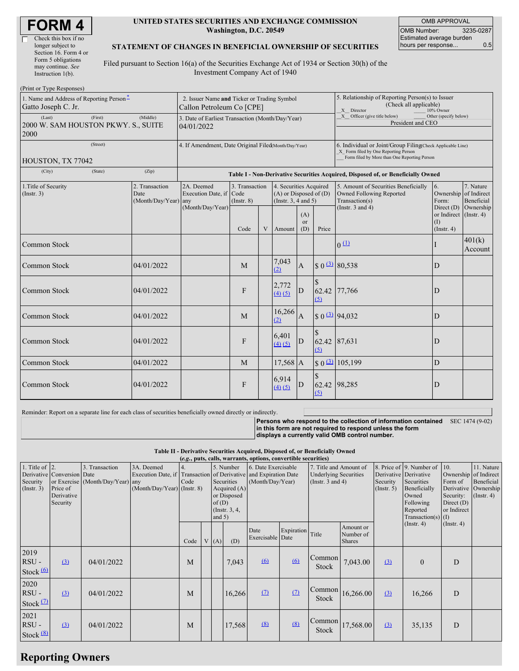| <b>FORM4</b> |
|--------------|
|--------------|

#### **UNITED STATES SECURITIES AND EXCHANGE COMMISSION Washington, D.C. 20549**

OMB APPROVAL OMB Number: 3235-0287 Estimated average burden hours per response... 0.5

### **STATEMENT OF CHANGES IN BENEFICIAL OWNERSHIP OF SECURITIES**

Filed pursuant to Section 16(a) of the Securities Exchange Act of 1934 or Section 30(h) of the Investment Company Act of 1940

| (Print or Type Responses)                                        |                                                                          |                                                                                  |                                           |   |                                                                              |                                                                                                                                                    |              |                                                                                    |                                                                 |                         |  |
|------------------------------------------------------------------|--------------------------------------------------------------------------|----------------------------------------------------------------------------------|-------------------------------------------|---|------------------------------------------------------------------------------|----------------------------------------------------------------------------------------------------------------------------------------------------|--------------|------------------------------------------------------------------------------------|-----------------------------------------------------------------|-------------------------|--|
| 1. Name and Address of Reporting Person-<br>Gatto Joseph C. Jr.  | 2. Issuer Name and Ticker or Trading Symbol<br>Callon Petroleum Co [CPE] |                                                                                  |                                           |   |                                                                              | 5. Relationship of Reporting Person(s) to Issuer<br>(Check all applicable)<br>X Director<br>10% Owner                                              |              |                                                                                    |                                                                 |                         |  |
| (Last)<br>(First)<br>2000 W. SAM HOUSTON PKWY. S., SUITE<br>2000 | 3. Date of Earliest Transaction (Month/Day/Year)<br>04/01/2022           |                                                                                  |                                           |   |                                                                              | X Officer (give title below)<br>Other (specify below)<br>President and CEO                                                                         |              |                                                                                    |                                                                 |                         |  |
| (Street)                                                         | 4. If Amendment, Date Original Filed(Month/Day/Year)                     |                                                                                  |                                           |   |                                                                              | 6. Individual or Joint/Group Filing(Check Applicable Line)<br>X Form filed by One Reporting Person<br>Form filed by More than One Reporting Person |              |                                                                                    |                                                                 |                         |  |
| HOUSTON, TX 77042                                                |                                                                          |                                                                                  |                                           |   |                                                                              |                                                                                                                                                    |              |                                                                                    |                                                                 |                         |  |
| (City)<br>(State)                                                | (Zip)                                                                    | Table I - Non-Derivative Securities Acquired, Disposed of, or Beneficially Owned |                                           |   |                                                                              |                                                                                                                                                    |              |                                                                                    |                                                                 |                         |  |
| 1. Title of Security<br>(Insert. 3)                              | 2. Transaction<br>Date<br>(Month/Day/Year) any                           | 2A. Deemed<br>Execution Date, if                                                 | 3. Transaction<br>Code<br>$($ Instr. $8)$ |   | 4. Securities Acquired<br>$(A)$ or Disposed of $(D)$<br>(Insert. 3, 4 and 5) |                                                                                                                                                    |              | 5. Amount of Securities Beneficially<br>Owned Following Reported<br>Transaction(s) | $\overline{6}$ .<br>Ownership of Indirect<br>Form:              | 7. Nature<br>Beneficial |  |
|                                                                  |                                                                          | (Month/Day/Year)                                                                 | Code                                      | V | Amount                                                                       | (A)<br><sub>or</sub><br>(D)                                                                                                                        | Price        | (Instr. $3$ and $4$ )                                                              | Direct (D)<br>or Indirect (Instr. 4)<br>(1)<br>$($ Instr. 4 $)$ | Ownership               |  |
| <b>Common Stock</b>                                              |                                                                          |                                                                                  |                                           |   |                                                                              |                                                                                                                                                    |              | 0(1)                                                                               |                                                                 | 401(k)<br>Account       |  |
| Common Stock                                                     | 04/01/2022                                                               |                                                                                  | M                                         |   | 7,043<br>(2)                                                                 | $\overline{A}$                                                                                                                                     |              | $$0 \frac{(3)}{2} \ 80,538$                                                        | $\mathbf{D}$                                                    |                         |  |
| Common Stock                                                     | 04/01/2022                                                               |                                                                                  | F                                         |   | 2,772<br>(4)(5)                                                              | D                                                                                                                                                  | 62.42<br>(5) | 77,766                                                                             | $\mathbf{D}$                                                    |                         |  |
| Common Stock                                                     | 04/01/2022                                                               |                                                                                  | M                                         |   | 16,266<br>(2)                                                                | $\mathbf{A}$                                                                                                                                       |              | $$0 \space 3 \space 94,032$                                                        | $\mathbf{D}$                                                    |                         |  |
| <b>Common Stock</b>                                              | 04/01/2022                                                               |                                                                                  | F                                         |   | 6,401<br>(4)(5)                                                              | D                                                                                                                                                  | (5)          | 62.42 87,631                                                                       | $\mathbf{D}$                                                    |                         |  |
| Common Stock                                                     | 04/01/2022                                                               |                                                                                  | M                                         |   | $17,568$ A                                                                   |                                                                                                                                                    |              | $$0 \choose 3$ 105,199                                                             | D                                                               |                         |  |
| <b>Common Stock</b>                                              | 04/01/2022                                                               |                                                                                  | F                                         |   | 6,914<br>(4)(5)                                                              | D                                                                                                                                                  | (5)          | 62.42 98,285                                                                       | D                                                               |                         |  |

Reminder: Report on a separate line for each class of securities beneficially owned directly or indirectly.

**Persons who respond to the collection of information contained in this form are not required to respond unless the form** SEC 1474 (9-02)

**displays a currently valid OMB control number.**

**Table II - Derivative Securities Acquired, Disposed of, or Beneficially Owned (***e.g.***, puts, calls, warrants, options, convertible securities)**

| 1. Title of $\vert$ 2.<br>Security<br>(Insert. 3) | Derivative Conversion Date<br>Price of<br>Derivative<br>Security | 3. Transaction<br>or Exercise (Month/Day/Year) any | 3A. Deemed<br>$(Month/Day/Year)$ (Instr. 8) | Code | 5. Number<br>Securities<br>Acquired $(A)$<br>or Disposed<br>of(D)<br>(Instr. $3, 4,$<br>and $5)$ |        | 6. Date Exercisable<br>Execution Date, if Transaction of Derivative and Expiration Date<br>(Month/Day/Year) |            | 7. Title and Amount of<br><b>Underlying Securities</b><br>(Instr. $3$ and $4$ ) |                                               | Derivative Derivative<br>Security<br>(Insert. 5) | 8. Price of 9. Number of<br>Securities<br>Beneficially<br>Owned<br>Following<br>Reported<br>Transaction(s) $(I)$ | 10.<br>Ownership of Indirect<br>Form of<br>Security:<br>Direct $(D)$<br>or Indirect | 11. Nature<br>Beneficial<br>Derivative Ownership<br>$($ Instr. 4 $)$ |
|---------------------------------------------------|------------------------------------------------------------------|----------------------------------------------------|---------------------------------------------|------|--------------------------------------------------------------------------------------------------|--------|-------------------------------------------------------------------------------------------------------------|------------|---------------------------------------------------------------------------------|-----------------------------------------------|--------------------------------------------------|------------------------------------------------------------------------------------------------------------------|-------------------------------------------------------------------------------------|----------------------------------------------------------------------|
|                                                   |                                                                  |                                                    |                                             | Code | V(A)                                                                                             | (D)    | Date<br>Exercisable Date                                                                                    | Expiration | Title                                                                           | Amount or<br>Number of<br><b>Shares</b>       |                                                  | $($ Instr. 4 $)$                                                                                                 | $($ Instr. 4 $)$                                                                    |                                                                      |
| 2019<br>$RSU -$<br>Stock $(6)$                    | (3)                                                              | 04/01/2022                                         |                                             | M    |                                                                                                  | 7,043  | 6                                                                                                           | $\omega$   | Common<br><b>Stock</b>                                                          | 7,043.00                                      | (3)                                              | $\mathbf{0}$                                                                                                     | D                                                                                   |                                                                      |
| 2020<br>$RSU -$<br>Stock $(2)$                    | (3)                                                              | 04/01/2022                                         |                                             | M    |                                                                                                  | 16,266 | (7)                                                                                                         | $\Omega$   | Stock                                                                           | $\lfloor$ Common $\lfloor 16, 266.00 \rfloor$ | (3)                                              | 16,266                                                                                                           | D                                                                                   |                                                                      |
| 2021<br>$RSU -$<br>Stock $(8)$                    | (3)                                                              | 04/01/2022                                         |                                             | M    |                                                                                                  | 17,568 | (8)                                                                                                         | (8)        | Common<br>Stock                                                                 | 17,568.00                                     | (3)                                              | 35,135                                                                                                           | D                                                                                   |                                                                      |

# **Reporting Owners**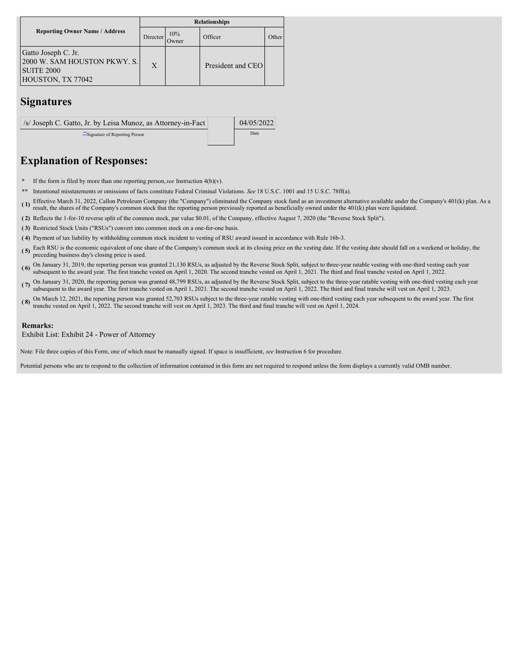|                                                                                               | <b>Relationships</b> |                      |                   |       |  |  |  |  |
|-----------------------------------------------------------------------------------------------|----------------------|----------------------|-------------------|-------|--|--|--|--|
| <b>Reporting Owner Name / Address</b>                                                         | Director             | 10%<br><b>J</b> wner | Officer           | Other |  |  |  |  |
| Gatto Joseph C. Jr.<br>2000 W. SAM HOUSTON PKWY. S.<br><b>SUITE 2000</b><br>HOUSTON, TX 77042 | $\mathbf{X}$         |                      | President and CEO |       |  |  |  |  |

## **Signatures**

/s/ Joseph C. Gatto, Jr. by Leisa Munoz, as Attorney-in-Fact  $\vert$  04/05/2022 \*\*Signature of Reporting Person Date

## **Explanation of Responses:**

**\*** If the form is filed by more than one reporting person,*see* Instruction 4(b)(v).

**\*\*** Intentional misstatements or omissions of facts constitute Federal Criminal Violations. *See* 18 U.S.C. 1001 and 15 U.S.C. 78ff(a).

(1) Effective March 31, 2022, Callon Petroleum Company (the "Company") eliminated the Company stock fund as an investment alternative available under the Company's 401(k) plan. As a result the change of the Company's energ result, the shares of the Company's common stock that the reporting person previously reported as beneficially owned under the 401(k) plan were liquidated.

**( 2)** Reflects the 1-for-10 reverse split of the common stock, par value \$0.01, of the Company, effective August 7, 2020 (the "Reverse Stock Split").

**( 3)** Restricted Stock Units ("RSUs") convert into common stock on a one-for-one basis.

**( 4)** Payment of tax liability by withholding common stock incident to vesting of RSU award issued in accordance with Rule 16b-3.

- (5) Each RSU is the economic equivalent of one share of the Company's common stock at its closing price on the vesting date. If the vesting date should fall on a weekend or holiday, the preceding business day's closing price is used.
- (6) On January 31, 2019, the reporting person was granted 21,130 RSUs, as adjusted by the Reverse Stock Split, subject to three-year ratable vesting with one-third vesting each year subsequent to the award year. The first
- ( $\overline{7}$ ) On January 31, 2020, the reporting person was granted 48,799 RSUs, as adjusted by the Reverse Stock Split, subject to the three-year ratable vesting with one-third vesting each year.<br>( $\overline{7}$ ) on January 31, 2 subsequent to the award year. The first tranche vested on April 1, 2021. The second tranche vested on April 1, 2022. The third and final tranche will vest on April 1, 2023.
- **( 8)** On March 12, 2021, the reporting person was granted 52,703 RSUs subject to the three-year ratable vesting with one-third vesting each year subsequent to the award year. The first tranche vested on April 1, 2022. The second tranche will vest on April 1, 2023. The third and final tranche will vest on April 1, 2024.

#### **Remarks:**

Exhibit List: Exhibit 24 - Power of Attorney

Note: File three copies of this Form, one of which must be manually signed. If space is insufficient, *see* Instruction 6 for procedure.

Potential persons who are to respond to the collection of information contained in this form are not required to respond unless the form displays a currently valid OMB number.